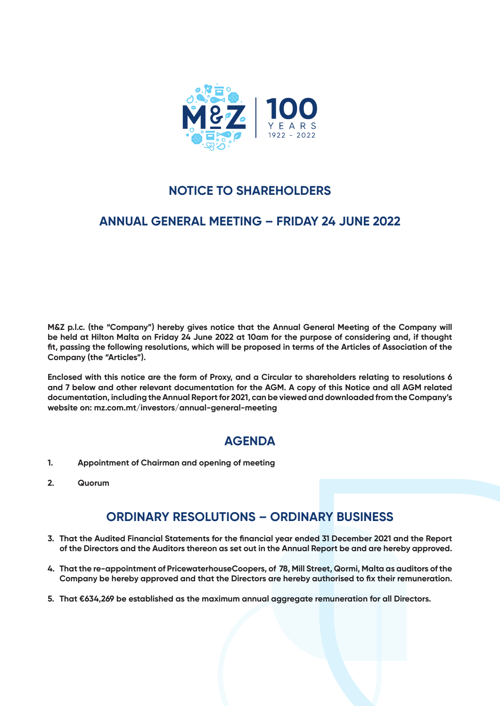

# **NOTICE TO SHAREHOLDERS**

## **ANNUAL GENERAL MEETING – FRIDAY 24 JUNE 2022**

**M&Z p.l.c. (the "Company") hereby gives notice that the Annual General Meeting of the Company will be held at Hilton Malta on Friday 24 June 2022 at 10am for the purpose of considering and, if thought fit, passing the following resolutions, which will be proposed in terms of the Articles of Association of the Company (the "Articles").** 

**Enclosed with this notice are the form of Proxy, and a Circular to shareholders relating to resolutions 6 and 7 below and other relevant documentation for the AGM. A copy of this Notice and all AGM related documentation, including the Annual Report for 2021, can be viewed and downloaded from the Company's website on: mz.com.mt/investors/annual-general-meeting**

# **AGENDA**

- **1. Appointment of Chairman and opening of meeting**
- **2. Quorum**

## **ORDINARY RESOLUTIONS – ORDINARY BUSINESS**

- **3. That the Audited Financial Statements for the financial year ended 31 December 2021 and the Report of the Directors and the Auditors thereon as set out in the Annual Report be and are hereby approved.**
- **4. That the re-appointment of PricewaterhouseCoopers, of 78, Mill Street, Qormi, Malta as auditors of the Company be hereby approved and that the Directors are hereby authorised to fix their remuneration.**
- **5. That €634,269 be established as the maximum annual aggregate remuneration for all Directors.**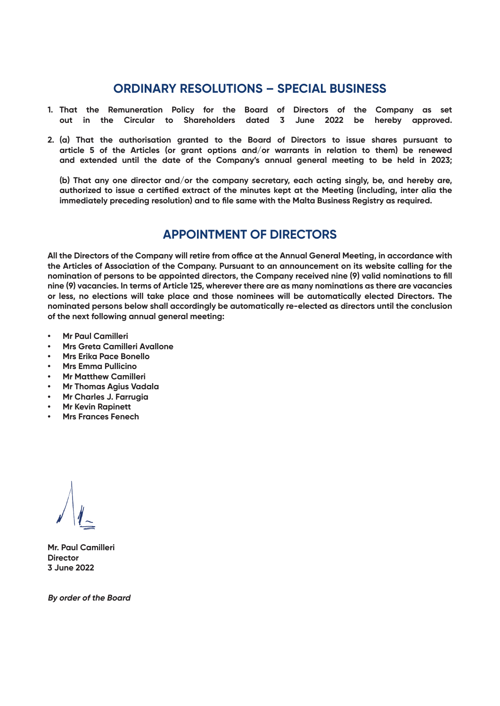#### **ORDINARY RESOLUTIONS – SPECIAL BUSINESS**

- **1. That the Remuneration Policy for the Board of Directors of the Company as set out in the Circular to Shareholders dated 3 June 2022 be hereby approved.**
- **2. (a) That the authorisation granted to the Board of Directors to issue shares pursuant to article 5 of the Articles (or grant options and/or warrants in relation to them) be renewed and extended until the date of the Company's annual general meeting to be held in 2023;**

**(b) That any one director and/or the company secretary, each acting singly, be, and hereby are, authorized to issue a certified extract of the minutes kept at the Meeting (including, inter alia the immediately preceding resolution) and to file same with the Malta Business Registry as required.**

# **APPOINTMENT OF DIRECTORS**

**All the Directors of the Company will retire from office at the Annual General Meeting, in accordance with the Articles of Association of the Company. Pursuant to an announcement on its website calling for the nomination of persons to be appointed directors, the Company received nine (9) valid nominations to fill nine (9) vacancies. In terms of Article 125, wherever there are as many nominations as there are vacancies or less, no elections will take place and those nominees will be automatically elected Directors. The nominated persons below shall accordingly be automatically re-elected as directors until the conclusion of the next following annual general meeting:**

- **• Mr Paul Camilleri**
- **• Mrs Greta Camilleri Avallone**
- **• Mrs Erika Pace Bonello**
- **• Mrs Emma Pullicino**
- **• Mr Matthew Camilleri**
- **• Mr Thomas Agius Vadala**
- **• Mr Charles J. Farrugia**
- **• Mr Kevin Rapinett**
- **• Mrs Frances Fenech**

**Mr. Paul Camilleri Director 3 June 2022**

**By order of the Board**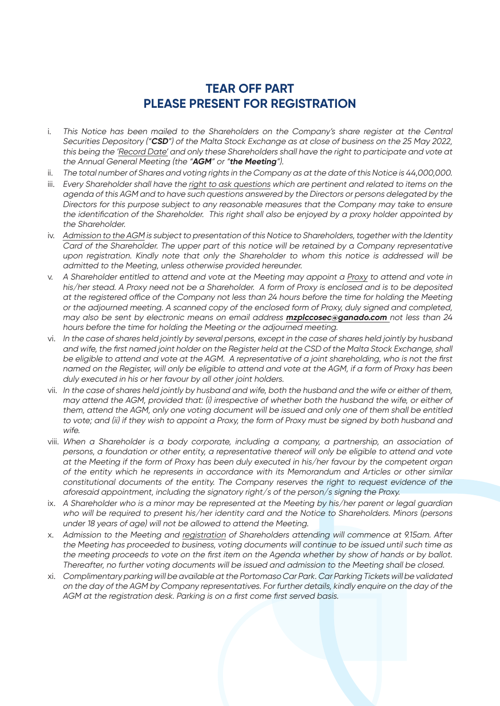## **TEAR OFF PART PLEASE PRESENT FOR REGISTRATION**

- i. This Notice has been mailed to the Shareholders on the Company's share register at the Central Securities Depository ("**CSD**") of the Malta Stock Exchange as at close of business on the 25 May 2022, this being the 'Record Date' and only these Shareholders shall have the right to participate and vote at the Annual General Meeting (the "**AGM**" or "**the Meeting**").
- ii. The total number of Shares and voting rights in the Company as at the date of this Notice is 44,000,000.
- iii. Every Shareholder shall have the right to ask questions which are pertinent and related to items on the agenda of this AGM and to have such questions answered by the Directors or persons delegated by the Directors for this purpose subject to any reasonable measures that the Company may take to ensure the identification of the Shareholder. This right shall also be enjoyed by a proxy holder appointed by the Shareholder.
- iv. Admission to the AGM is subject to presentation of this Notice to Shareholders, together with the Identity Card of the Shareholder. The upper part of this notice will be retained by a Company representative upon registration. Kindly note that only the Shareholder to whom this notice is addressed will be admitted to the Meeting, unless otherwise provided hereunder.
- v. A Shareholder entitled to attend and vote at the Meeting may appoint a Proxy to attend and vote in his/her stead. A Proxy need not be a Shareholder. A form of Proxy is enclosed and is to be deposited at the registered office of the Company not less than 24 hours before the time for holding the Meeting or the adjourned meeting. A scanned copy of the enclosed form of Proxy, duly signed and completed, may also be sent by electronic means on email address **mzplccosec@ganado.com** not less than 24 hours before the time for holding the Meeting or the adjourned meeting.
- vi. In the case of shares held jointly by several persons, except in the case of shares held jointly by husband and wife, the first named joint holder on the Register held at the CSD of the Malta Stock Exchange, shall be eligible to attend and vote at the AGM. A representative of a joint shareholding, who is not the first named on the Register, will only be eligible to attend and vote at the AGM, if a form of Proxy has been duly executed in his or her favour by all other joint holders.
- vii. In the case of shares held jointly by husband and wife, both the husband and the wife or either of them, may attend the AGM, provided that: (i) irrespective of whether both the husband the wife, or either of them, attend the AGM, only one voting document will be issued and only one of them shall be entitled to vote; and (ii) if they wish to appoint a Proxy, the form of Proxy must be signed by both husband and wife.
- viii. When a Shareholder is a body corporate, including a company, a partnership, an association of persons, a foundation or other entity, a representative thereof will only be eligible to attend and vote at the Meeting if the form of Proxy has been duly executed in his/her favour by the competent organ of the entity which he represents in accordance with its Memorandum and Articles or other similar constitutional documents of the entity. The Company reserves the right to request evidence of the aforesaid appointment, including the signatory right/s of the person/s signing the Proxy.
- ix. A Shareholder who is a minor may be represented at the Meeting by his/her parent or legal guardian who will be required to present his/her identity card and the Notice to Shareholders. Minors (persons under 18 years of age) will not be allowed to attend the Meeting.
- x. Admission to the Meeting and registration of Shareholders attending will commence at 9.15am. After the Meeting has proceeded to business, voting documents will continue to be issued until such time as the meeting proceeds to vote on the first item on the Agenda whether by show of hands or by ballot. Thereafter, no further voting documents will be issued and admission to the Meeting shall be closed.
- xi. Complimentary parking will be available at the Portomaso Car Park. Car Parking Tickets will be validated on the day of the AGM by Company representatives. For further details, kindly enquire on the day of the AGM at the registration desk. Parking is on a first come first served basis.